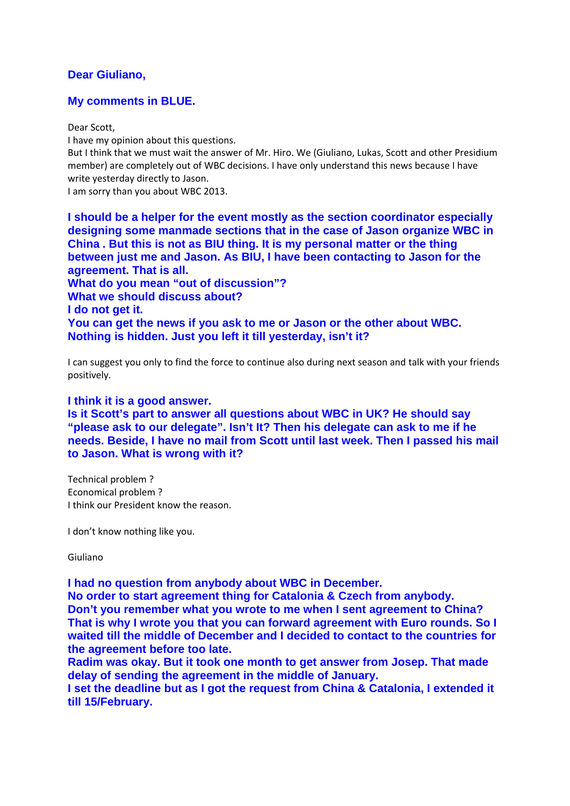## **Dear Giuliano,**

## **My comments in BLUE.**

Dear Scott,

I have my opinion about this questions.

But I think that we must wait the answer of Mr. Hiro. We (Giuliano, Lukas, Scott and other Presidium member) are completely out of WBC decisions. I have only understand this news because I have write yesterday directly to Jason.

I am sorry than you about WBC 2013.

**I should be a helper for the event mostly as the section coordinator especially designing some manmade sections that in the case of Jason organize WBC in China . But this is not as BIU thing. It is my personal matter or the thing between just me and Jason. As BIU, I have been contacting to Jason for the agreement. That is all. What do you mean "out of discussion"? What we should discuss about? I do not get it. You can get the news if you ask to me or Jason or the other about WBC. Nothing is hidden. Just you left it till yesterday, isn't it?** 

I can suggest you only to find the force to continue also during next season and talk with your friends positively.

## **I think it is a good answer.**

**Is it Scott's part to answer all questions about WBC in UK? He should say "please ask to our delegate". Isn't It? Then his delegate can ask to me if he needs. Beside, I have no mail from Scott until last week. Then I passed his mail to Jason. What is wrong with it?** 

Technical problem ? Economical problem ? I think our President know the reason.

I don't know nothing like you.

Giuliano

**I had no question from anybody about WBC in December.** 

**No order to start agreement thing for Catalonia & Czech from anybody. Don't you remember what you wrote to me when I sent agreement to China? That is why I wrote you that you can forward agreement with Euro rounds. So I waited till the middle of December and I decided to contact to the countries for the agreement before too late.** 

**Radim was okay. But it took one month to get answer from Josep. That made delay of sending the agreement in the middle of January.** 

**I set the deadline but as I got the request from China & Catalonia, I extended it till 15/February.**